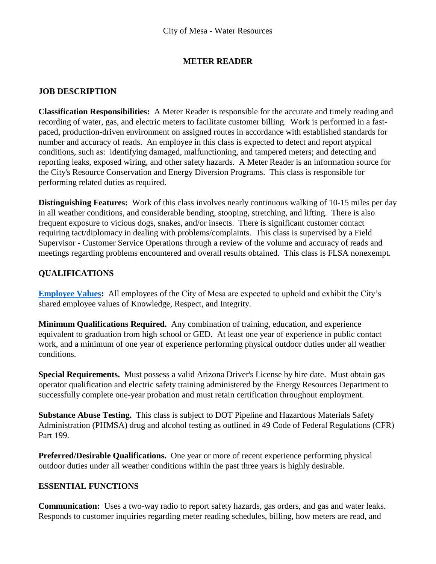## **METER READER**

## **JOB DESCRIPTION**

**Classification Responsibilities:** A Meter Reader is responsible for the accurate and timely reading and recording of water, gas, and electric meters to facilitate customer billing. Work is performed in a fastpaced, production-driven environment on assigned routes in accordance with established standards for number and accuracy of reads. An employee in this class is expected to detect and report atypical conditions, such as: identifying damaged, malfunctioning, and tampered meters; and detecting and reporting leaks, exposed wiring, and other safety hazards. A Meter Reader is an information source for the City's Resource Conservation and Energy Diversion Programs. This class is responsible for performing related duties as required.

**Distinguishing Features:** Work of this class involves nearly continuous walking of 10-15 miles per day in all weather conditions, and considerable bending, stooping, stretching, and lifting. There is also frequent exposure to vicious dogs, snakes, and/or insects. There is significant customer contact requiring tact/diplomacy in dealing with problems/complaints. This class is supervised by a Field Supervisor - Customer Service Operations through a review of the volume and accuracy of reads and meetings regarding problems encountered and overall results obtained. This class is FLSA nonexempt.

# **QUALIFICATIONS**

**[Employee Values:](https://www.mesaaz.gov/Home/ShowDocument?id=14147)** All employees of the City of Mesa are expected to uphold and exhibit the City's shared employee values of Knowledge, Respect, and Integrity.

**Minimum Qualifications Required.** Any combination of training, education, and experience equivalent to graduation from high school or GED. At least one year of experience in public contact work, and a minimum of one year of experience performing physical outdoor duties under all weather conditions.

**Special Requirements.** Must possess a valid Arizona Driver's License by hire date. Must obtain gas operator qualification and electric safety training administered by the Energy Resources Department to successfully complete one-year probation and must retain certification throughout employment.

**Substance Abuse Testing.** This class is subject to DOT Pipeline and Hazardous Materials Safety Administration (PHMSA) drug and alcohol testing as outlined in 49 Code of Federal Regulations (CFR) Part 199.

**Preferred/Desirable Qualifications.** One year or more of recent experience performing physical outdoor duties under all weather conditions within the past three years is highly desirable.

## **ESSENTIAL FUNCTIONS**

**Communication:** Uses a two-way radio to report safety hazards, gas orders, and gas and water leaks. Responds to customer inquiries regarding meter reading schedules, billing, how meters are read, and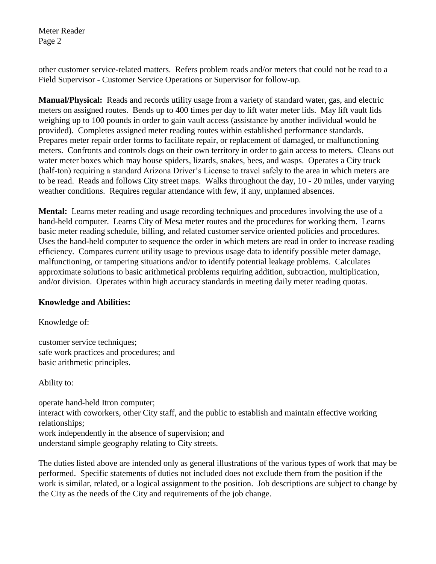Meter Reader Page 2

other customer service-related matters. Refers problem reads and/or meters that could not be read to a Field Supervisor - Customer Service Operations or Supervisor for follow-up.

**Manual/Physical:** Reads and records utility usage from a variety of standard water, gas, and electric meters on assigned routes. Bends up to 400 times per day to lift water meter lids. May lift vault lids weighing up to 100 pounds in order to gain vault access (assistance by another individual would be provided). Completes assigned meter reading routes within established performance standards. Prepares meter repair order forms to facilitate repair, or replacement of damaged, or malfunctioning meters. Confronts and controls dogs on their own territory in order to gain access to meters. Cleans out water meter boxes which may house spiders, lizards, snakes, bees, and wasps. Operates a City truck (half-ton) requiring a standard Arizona Driver's License to travel safely to the area in which meters are to be read. Reads and follows City street maps. Walks throughout the day, 10 - 20 miles, under varying weather conditions. Requires regular attendance with few, if any, unplanned absences.

**Mental:** Learns meter reading and usage recording techniques and procedures involving the use of a hand-held computer. Learns City of Mesa meter routes and the procedures for working them. Learns basic meter reading schedule, billing, and related customer service oriented policies and procedures. Uses the hand-held computer to sequence the order in which meters are read in order to increase reading efficiency. Compares current utility usage to previous usage data to identify possible meter damage, malfunctioning, or tampering situations and/or to identify potential leakage problems. Calculates approximate solutions to basic arithmetical problems requiring addition, subtraction, multiplication, and/or division. Operates within high accuracy standards in meeting daily meter reading quotas.

#### **Knowledge and Abilities:**

Knowledge of:

customer service techniques; safe work practices and procedures; and basic arithmetic principles.

Ability to:

operate hand-held Itron computer; interact with coworkers, other City staff, and the public to establish and maintain effective working relationships; work independently in the absence of supervision; and understand simple geography relating to City streets.

The duties listed above are intended only as general illustrations of the various types of work that may be performed. Specific statements of duties not included does not exclude them from the position if the work is similar, related, or a logical assignment to the position. Job descriptions are subject to change by the City as the needs of the City and requirements of the job change.